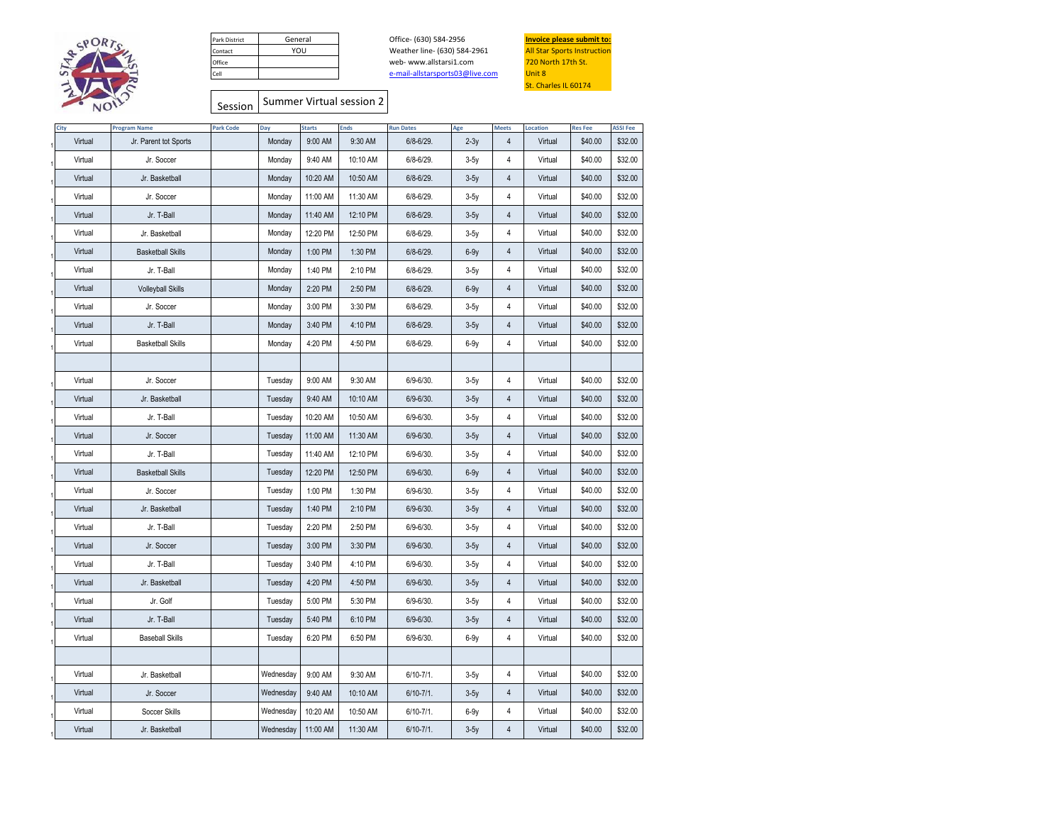

| Park District | General |
|---------------|---------|
| Contact       | YOU     |
| Office        |         |
| Cell          |         |

web- www.allstarsi1.com Office- (630) 584-2956 **Invoice please submit to:**<br>Weather line- (630) 584-2961 All Star Sports Instruction Weather line- (630) 584-2961 [e-mail-allstarsports](mailto:e-mail-allstarsports03@live.com)03@live.com



## Session Summer Virtual session 2

| City    | <b>Program Name</b>      | <b>Park Code</b> | Day       | <b>Starts</b> | <b>Ends</b> | <b>Run Dates</b> | Age    | <b>Meets</b>   | Location | <b>Res Fee</b> | <b>ASSI Fee</b> |
|---------|--------------------------|------------------|-----------|---------------|-------------|------------------|--------|----------------|----------|----------------|-----------------|
| Virtual | Jr. Parent tot Sports    |                  | Monday    | 9:00 AM       | 9:30 AM     | 6/8-6/29.        | $2-3y$ | 4              | Virtual  | \$40.00        | \$32.00         |
| Virtual | Jr. Soccer               |                  | Monday    | 9:40 AM       | 10:10 AM    | 6/8-6/29.        | $3-5y$ | 4              | Virtual  | \$40.00        | \$32.00         |
| Virtual | Jr. Basketball           |                  | Monday    | 10:20 AM      | 10:50 AM    | 6/8-6/29.        | $3-5y$ | 4              | Virtual  | \$40.00        | \$32.00         |
| Virtual | Jr. Soccer               |                  | Monday    | 11:00 AM      | 11:30 AM    | 6/8-6/29.        | $3-5y$ | $\overline{4}$ | Virtual  | \$40.00        | \$32.00         |
| Virtual | Jr. T-Ball               |                  | Monday    | 11:40 AM      | 12:10 PM    | 6/8-6/29.        | $3-5y$ | 4              | Virtual  | \$40.00        | \$32.00         |
| Virtual | Jr. Basketball           |                  | Monday    | 12:20 PM      | 12:50 PM    | 6/8-6/29.        | $3-5y$ | 4              | Virtual  | \$40.00        | \$32.00         |
| Virtual | <b>Basketball Skills</b> |                  | Monday    | 1:00 PM       | 1:30 PM     | 6/8-6/29.        | $6-9y$ | $\sqrt{4}$     | Virtual  | \$40.00        | \$32.00         |
| Virtual | Jr. T-Ball               |                  | Monday    | 1:40 PM       | 2:10 PM     | 6/8-6/29.        | $3-5y$ | 4              | Virtual  | \$40.00        | \$32.00         |
| Virtual | <b>Volleyball Skills</b> |                  | Monday    | 2:20 PM       | 2:50 PM     | 6/8-6/29.        | $6-9y$ | 4              | Virtual  | \$40.00        | \$32.00         |
| Virtual | Jr. Soccer               |                  | Monday    | 3:00 PM       | 3:30 PM     | 6/8-6/29.        | $3-5y$ | 4              | Virtual  | \$40.00        | \$32.00         |
| Virtual | Jr. T-Ball               |                  | Monday    | 3:40 PM       | 4:10 PM     | 6/8-6/29.        | $3-5y$ | 4              | Virtual  | \$40.00        | \$32.00         |
| Virtual | <b>Basketball Skills</b> |                  | Monday    | 4:20 PM       | 4:50 PM     | 6/8-6/29.        | $6-9y$ | 4              | Virtual  | \$40.00        | \$32.00         |
|         |                          |                  |           |               |             |                  |        |                |          |                |                 |
| Virtual | Jr. Soccer               |                  | Tuesday   | 9:00 AM       | 9:30 AM     | 6/9-6/30.        | $3-5y$ | $\overline{4}$ | Virtual  | \$40.00        | \$32.00         |
| Virtual | Jr. Basketball           |                  | Tuesday   | 9:40 AM       | 10:10 AM    | 6/9-6/30.        | $3-5y$ | 4              | Virtual  | \$40.00        | \$32.00         |
| Virtual | Jr. T-Ball               |                  | Tuesday   | 10:20 AM      | 10:50 AM    | 6/9-6/30.        | $3-5y$ | 4              | Virtual  | \$40.00        | \$32.00         |
| Virtual | Jr. Soccer               |                  | Tuesday   | 11:00 AM      | 11:30 AM    | 6/9-6/30.        | $3-5y$ | 4              | Virtual  | \$40.00        | \$32.00         |
| Virtual | Jr. T-Ball               |                  | Tuesday   | 11:40 AM      | 12:10 PM    | 6/9-6/30.        | $3-5y$ | 4              | Virtual  | \$40.00        | \$32.00         |
| Virtual | <b>Basketball Skills</b> |                  | Tuesday   | 12:20 PM      | 12:50 PM    | 6/9-6/30.        | $6-9y$ | 4              | Virtual  | \$40.00        | \$32.00         |
| Virtual | Jr. Soccer               |                  | Tuesday   | 1:00 PM       | 1:30 PM     | 6/9-6/30.        | $3-5y$ | 4              | Virtual  | \$40.00        | \$32.00         |
| Virtual | Jr. Basketball           |                  | Tuesday   | 1:40 PM       | 2:10 PM     | 6/9-6/30.        | $3-5y$ | $\sqrt{4}$     | Virtual  | \$40.00        | \$32.00         |
| Virtual | Jr. T-Ball               |                  | Tuesday   | 2:20 PM       | 2:50 PM     | 6/9-6/30.        | $3-5y$ | $\overline{4}$ | Virtual  | \$40.00        | \$32.00         |
| Virtual | Jr. Soccer               |                  | Tuesday   | 3:00 PM       | 3:30 PM     | 6/9-6/30.        | $3-5y$ | 4              | Virtual  | \$40.00        | \$32.00         |
| Virtual | Jr. T-Ball               |                  | Tuesday   | 3:40 PM       | 4:10 PM     | 6/9-6/30.        | $3-5y$ | 4              | Virtual  | \$40.00        | \$32.00         |
| Virtual | Jr. Basketball           |                  | Tuesday   | 4:20 PM       | 4:50 PM     | 6/9-6/30.        | $3-5y$ | 4              | Virtual  | \$40.00        | \$32.00         |
| Virtual | Jr. Golf                 |                  | Tuesday   | 5:00 PM       | 5:30 PM     | 6/9-6/30.        | $3-5y$ | $\sqrt{4}$     | Virtual  | \$40.00        | \$32.00         |
| Virtual | Jr. T-Ball               |                  | Tuesday   | 5:40 PM       | 6:10 PM     | 6/9-6/30.        | $3-5y$ | 4              | Virtual  | \$40.00        | \$32.00         |
| Virtual | <b>Baseball Skills</b>   |                  | Tuesday   | 6:20 PM       | 6:50 PM     | 6/9-6/30.        | $6-9y$ | $\overline{4}$ | Virtual  | \$40.00        | \$32.00         |
|         |                          |                  |           |               |             |                  |        |                |          |                |                 |
| Virtual | Jr. Basketball           |                  | Wednesday | 9:00 AM       | 9:30 AM     | $6/10 - 7/1$ .   | $3-5y$ | 4              | Virtual  | \$40.00        | \$32.00         |
| Virtual | Jr. Soccer               |                  | Wednesday | 9:40 AM       | 10:10 AM    | $6/10 - 7/1$ .   | $3-5y$ | 4              | Virtual  | \$40.00        | \$32.00         |
| Virtual | Soccer Skills            |                  | Wednesday | 10:20 AM      | 10:50 AM    | $6/10-7/1.$      | $6-9y$ | 4              | Virtual  | \$40.00        | \$32.00         |
| Virtual | Jr. Basketball           |                  | Wednesday | 11:00 AM      | 11:30 AM    | $6/10-7/1.$      | $3-5y$ | 4              | Virtual  | \$40.00        | \$32.00         |
|         |                          |                  |           |               |             |                  |        |                |          |                |                 |